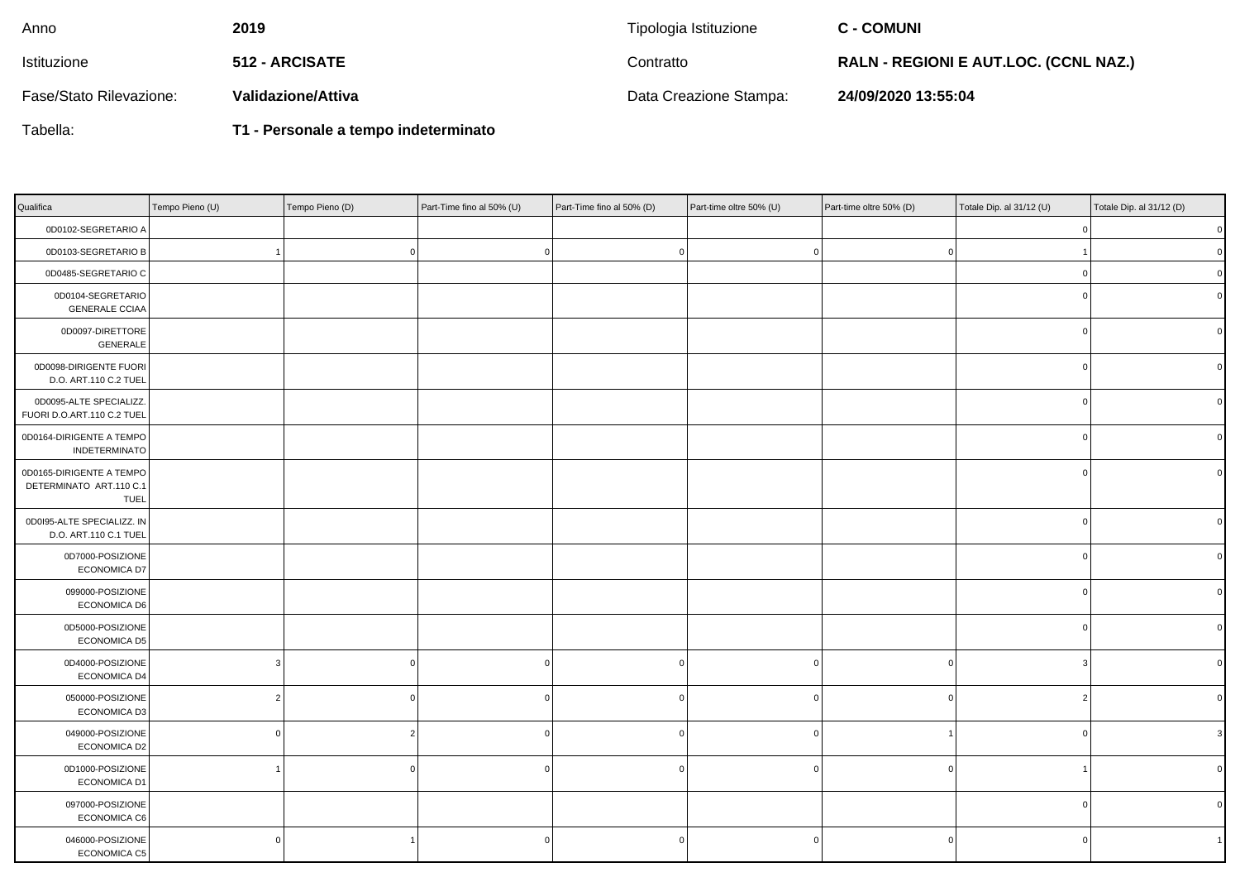| Anno                    | 2019                  | Tipologia Istituzione  | <b>C - COMUNI</b>                            |
|-------------------------|-----------------------|------------------------|----------------------------------------------|
| <b>Istituzione</b>      | <b>512 - ARCISATE</b> | Contratto              | <b>RALN - REGIONI E AUT.LOC. (CCNL NAZ.)</b> |
| Fase/Stato Rilevazione: | Validazione/Attiva    | Data Creazione Stampa: | 24/09/2020 13:55:04                          |

Tabella:

**T1 - Personale a tempo indeterminato**

| Qualifica                                                   | Tempo Pieno (U) | Tempo Pieno (D) | Part-Time fino al 50% (U) | Part-Time fino al 50% (D) | Part-time oltre 50% (U) | Part-time oltre 50% (D) | Totale Dip. al 31/12 (U) | Totale Dip. al 31/12 (D) |
|-------------------------------------------------------------|-----------------|-----------------|---------------------------|---------------------------|-------------------------|-------------------------|--------------------------|--------------------------|
| 0D0102-SEGRETARIO A                                         |                 |                 |                           |                           |                         |                         |                          | $\mathbf{0}$             |
| 0D0103-SEGRETARIO B                                         |                 | $\mathbf 0$     | C.                        | $\Omega$                  |                         | C.                      |                          | $\mathbf{0}$             |
| 0D0485-SEGRETARIO C                                         |                 |                 |                           |                           |                         |                         | $\Omega$                 |                          |
| 0D0104-SEGRETARIO<br><b>GENERALE CCIAA</b>                  |                 |                 |                           |                           |                         |                         | $\Omega$                 |                          |
| 0D0097-DIRETTORE<br>GENERALE                                |                 |                 |                           |                           |                         |                         | $\overline{0}$           | $\Omega$                 |
| 0D0098-DIRIGENTE FUORI<br>D.O. ART.110 C.2 TUEL             |                 |                 |                           |                           |                         |                         | $\overline{0}$           | O                        |
| 0D0095-ALTE SPECIALIZZ.<br>FUORI D.O.ART.110 C.2 TUEL       |                 |                 |                           |                           |                         |                         | $\overline{0}$           | O                        |
| 0D0164-DIRIGENTE A TEMPO<br>INDETERMINATO                   |                 |                 |                           |                           |                         |                         | $\mathbf 0$              | <sup>0</sup>             |
| 0D0165-DIRIGENTE A TEMPO<br>DETERMINATO ART.110 C.1<br>TUEL |                 |                 |                           |                           |                         |                         | $\overline{0}$           |                          |
| 0D0I95-ALTE SPECIALIZZ. IN<br>D.O. ART.110 C.1 TUEL         |                 |                 |                           |                           |                         |                         | $^{\circ}$               |                          |
| 0D7000-POSIZIONE<br><b>ECONOMICA D7</b>                     |                 |                 |                           |                           |                         |                         | $\Omega$                 |                          |
| 099000-POSIZIONE<br>ECONOMICA D6                            |                 |                 |                           |                           |                         |                         | $\Omega$                 |                          |
| 0D5000-POSIZIONE<br>ECONOMICA D5                            |                 |                 |                           |                           |                         |                         | $\mathbf 0$              |                          |
| 0D4000-POSIZIONE<br>ECONOMICA D4                            | 3               | n               | $\sqrt{ }$                | $\Omega$                  |                         | $\Omega$                | 3                        |                          |
| 050000-POSIZIONE<br>ECONOMICA D3                            | $\overline{2}$  | n               |                           | $\Omega$                  |                         | $\Omega$                | $\overline{2}$           |                          |
| 049000-POSIZIONE<br>ECONOMICA D2                            | $\mathbf 0$     | $\overline{2}$  | ſ                         | $\Omega$                  |                         |                         | $\mathbf 0$              |                          |
| 0D1000-POSIZIONE<br><b>ECONOMICA D1</b>                     |                 | O               |                           | $^{\circ}$                |                         | ſ                       |                          |                          |
| 097000-POSIZIONE<br>ECONOMICA C6                            |                 |                 |                           |                           |                         |                         | $\mathbf 0$              |                          |
| 046000-POSIZIONE<br>ECONOMICA C5                            | $\mathbf 0$     |                 |                           | 0                         |                         | $\Omega$                | 0                        |                          |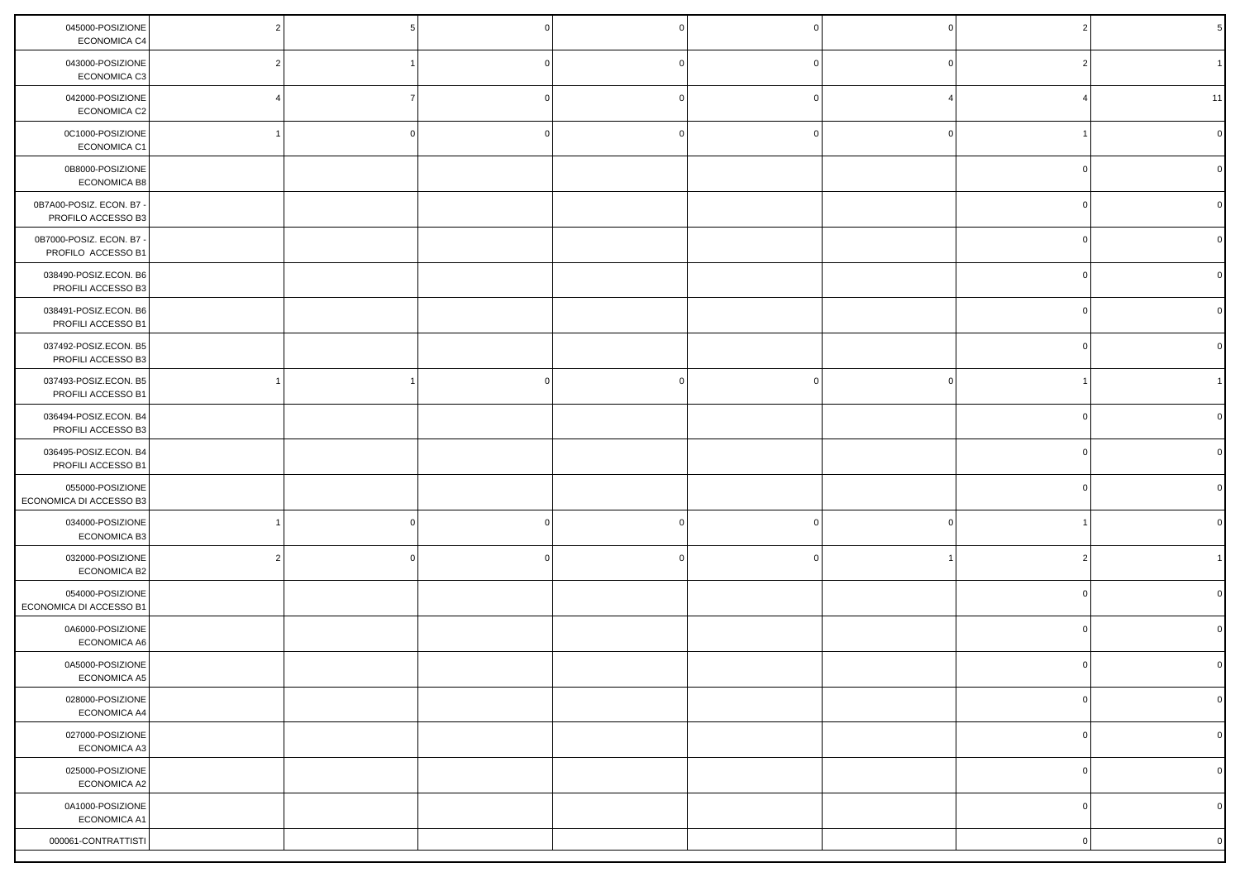| 045000-POSIZIONE<br>ECONOMICA C4               |  |  |  |             |              |
|------------------------------------------------|--|--|--|-------------|--------------|
| 043000-POSIZIONE<br>ECONOMICA C3               |  |  |  |             |              |
| 042000-POSIZIONE<br>ECONOMICA C2               |  |  |  |             | 11           |
| 0C1000-POSIZIONE<br>ECONOMICA C1               |  |  |  |             |              |
| 0B8000-POSIZIONE<br>ECONOMICA B8               |  |  |  |             |              |
| 0B7A00-POSIZ. ECON. B7 -<br>PROFILO ACCESSO B3 |  |  |  |             |              |
| 0B7000-POSIZ. ECON. B7<br>PROFILO ACCESSO B1   |  |  |  |             |              |
| 038490-POSIZ.ECON. B6<br>PROFILI ACCESSO B3    |  |  |  |             |              |
| 038491-POSIZ.ECON. B6<br>PROFILI ACCESSO B1    |  |  |  |             |              |
| 037492-POSIZ.ECON. B5<br>PROFILI ACCESSO B3    |  |  |  |             |              |
| 037493-POSIZ.ECON. B5<br>PROFILI ACCESSO B1    |  |  |  |             |              |
| 036494-POSIZ.ECON. B4<br>PROFILI ACCESSO B3    |  |  |  |             |              |
| 036495-POSIZ.ECON. B4<br>PROFILI ACCESSO B1    |  |  |  |             |              |
| 055000-POSIZIONE<br>ECONOMICA DI ACCESSO B3    |  |  |  |             |              |
| 034000-POSIZIONE<br>ECONOMICA B3               |  |  |  |             |              |
| 032000-POSIZIONE<br>ECONOMICA B2               |  |  |  |             |              |
| 054000-POSIZIONE<br>ECONOMICA DI ACCESSO B1    |  |  |  |             |              |
| 0A6000-POSIZIONE<br>ECONOMICA A6               |  |  |  |             |              |
| 0A5000-POSIZIONE<br>ECONOMICA A5               |  |  |  |             |              |
| 028000-POSIZIONE<br>ECONOMICA A4               |  |  |  | $\circ$     | $\circ$      |
| 027000-POSIZIONE<br>ECONOMICA A3               |  |  |  | $\mathbf 0$ | $\mathbf{0}$ |
| 025000-POSIZIONE<br>ECONOMICA A2               |  |  |  | $\mathbf 0$ | $\mathbf 0$  |
| 0A1000-POSIZIONE<br>ECONOMICA A1               |  |  |  | $\mathbf 0$ | $\mathbf 0$  |
| 000061-CONTRATTISTI                            |  |  |  | 0           | $\mathbf 0$  |